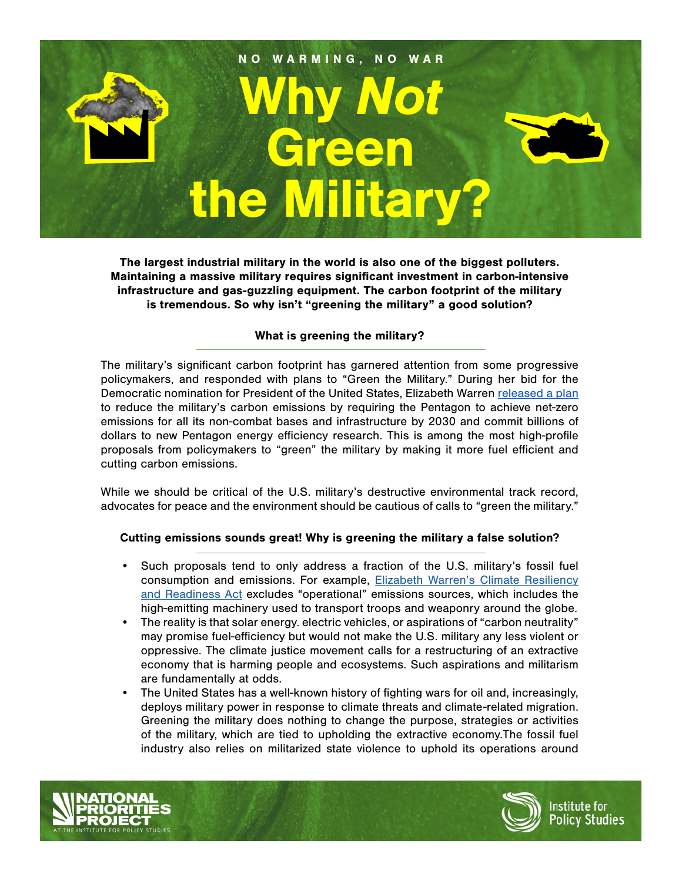

The largest industrial military in the world is also one of the biggest polluters. Maintaining a massive military requires significant investment in carbon-intensive infrastructure and gas-guzzling equipment. The carbon footprint of the military is tremendous. So why isn't "greening the military" a good solution?

# What is greening the military?

The military's significant carbon footprint has garnered attention from some progressive policymakers, and responded with plans to "Green the Military." During her bid for the Democratic nomination for President of the United States, Elizabeth Warren [released a plan](https://elizabethwarren.com/plans/military-combat-climate-change) to reduce the military's carbon emissions by requiring the Pentagon to achieve net-zero emissions for all its non-combat bases and infrastructure by 2030 and commit billions of dollars to new Pentagon energy efficiency research. This is among the most high-profile proposals from policymakers to "green" the military by making it more fuel efficient and cutting carbon emissions.

While we should be critical of the U.S. military's destructive environmental track record, advocates for peace and the environment should be cautious of calls to "green the military."

## Cutting emissions sounds great! Why is greening the military a false solution?

- Such proposals tend to only address a fraction of the U.S. military's fossil fuel consumption and emissions. For example, **Elizabeth Warren's Climate Resiliency** [and Readiness Act](https://www.warren.senate.gov/imo/media/doc/Warren-DoDClimateResiliencyandReadinessAct%20Section-by-Section%20Summary.pdf) excludes "operational" emissions sources, which includes the high-emitting machinery used to transport troops and weaponry around the globe.
- The reality is that solar energy. electric vehicles, or aspirations of "carbon neutrality" may promise fuel-efficiency but would not make the U.S. military any less violent or oppressive. The climate justice movement calls for a restructuring of an extractive economy that is harming people and ecosystems. Such aspirations and militarism are fundamentally at odds.
- The United States has a well-known history of fighting wars for oil and, increasingly, deploys military power in response to climate threats and climate-related migration. Greening the military does nothing to change the purpose, strategies or activities of the military, which are tied to upholding the extractive economy.The fossil fuel industry also relies on militarized state violence to uphold its operations around